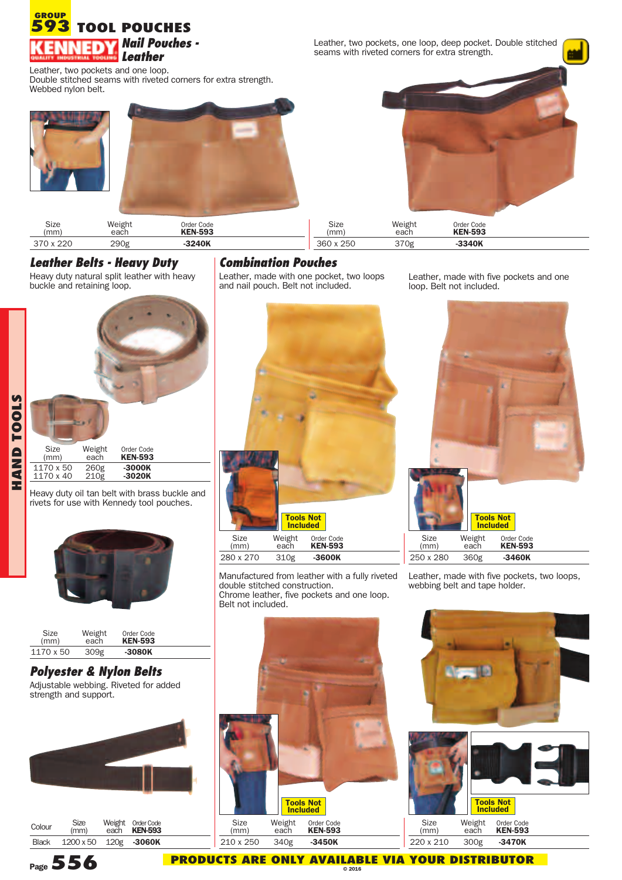### **TOOL POUCHES GROUP 593** *Leather*

**Nail Pouches -**<br>Leather, two pockets, one loop, deep pocket. Double stitched<br>**Louther** seams with riveted corners for extra strength.

Leather, two pockets and one loop.<br>Double stitched seams with riveted corners for extra strength.<br>Webbed nylon belt.







| Size<br>(mm) | Weight<br>each | Order Code<br><b>KEN-593</b> | Size<br>(mm) | Weight<br>each | Order Code<br><b>KEN-593</b> |  |
|--------------|----------------|------------------------------|--------------|----------------|------------------------------|--|
| 370 x 220    | 290g           | $-3240K$                     | 360 x 250    | 370g           | -3340K                       |  |

### *Leather Belts - Heavy Duty*

Heavy duty natural split leather with heavy buckle and retaining loop.



Heavy duty oil tan belt with brass buckle and rivets for use with Kennedy tool pouches.



| Size      | Weight | Order Code     |  |
|-----------|--------|----------------|--|
| (mm)      | each   | <b>KEN-593</b> |  |
| 1170 x 50 | 309g   | $-3080K$       |  |

# *Polyester & Nylon Belts*

Adjustable webbing. Riveted for added strength and support.



| Colour       | Size<br>(mm)     | Weight Order Code<br>each <b>KEN-593</b> |
|--------------|------------------|------------------------------------------|
| <b>Black</b> | $1200 \times 50$ | 120g - 3060K                             |

# *Combination Pouches*

Leather, made with one pocket, two loops and nail pouch. Belt not included.



Manufactured from leather with a fully riveted double stitched construction. Chrome leather, five pockets and one loop. Belt not included.

Leather, made with five pockets and one loop. Belt not included.



Leather, made with five pockets, two loops, webbing belt and tape holder.



**Page556 PRODUCTS ARE ONLY AVAILABLE VIA YOUR DISTRIBUTOR © <sup>2016</sup>**





Size Weight Order Code (mm) each **KEN-593** 220 x 210 300g **-3470K**

**O L** <u>ທ</u>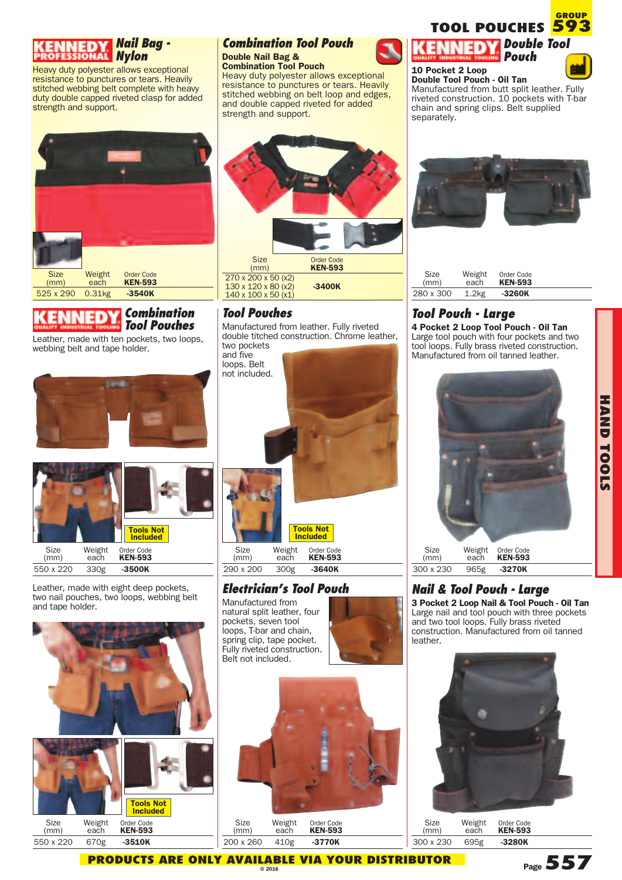

Heavy duty polyester allows exceptional resistance to punctures or tears. Heavily stitched webbing belt complete with heavy duty double capped riveted clasp for added strength and support.



## *Combination Tool Pouches*

Leather, made with ten pockets, two loops, webbing belt and tape holder.





Leather, made with eight deep pockets, two nail pouches, two loops, webbing belt and tape holder.



### *Combination Tool Pouch* **Double Nail Bag &**

**Combination Tool Pouch** Heavy duty polyester allows exceptional resistance to punctures or tears. Heavily stitched webbing on belt loop and edges, and double capped riveted for added strength and support.



# *Tool Pouches*

Manufactured from leather. Fully riveted double titched construction. Chrome leather, two pockets

and five loops. Belt not included.



### *Electrician's Tool Pouch*

Manufactured from natural split leather, four pockets, seven tool loops, T-bar and chain, spring clip, tape pocket. Fully riveted construction. Belt not included.





Size Weight Order Code (mm) each **KEN-593** 200 x 260 410g **-3770K**





**GROUP**

**10 Pocket 2 Loop Double Tool Pouch - Oil Tan** Manufactured from butt split leather. Fully riveted construction. 10 pockets with T-bar chain and spring clips. Belt supplied separately.



| Size      | Weight            | Order Code     |  |
|-----------|-------------------|----------------|--|
| (mm)      | each              | <b>KEN-593</b> |  |
| 280 x 300 | 1.2 <sub>kg</sub> | $-3260K$       |  |

# *Tool Pouch - Large*

**4 Pocket 2 Loop Tool Pouch - Oil Tan** Large tool pouch with four pockets and two tool loops. Fully brass riveted construction. Manufactured from oil tanned leather.



Size Weight Order Code (mm) each **KEN-593** 300 x 230 965g **-3270K**

### *Nail & Tool Pouch - Large*

**3 Pocket 2 Loop Nail & Tool Pouch - Oil Tan** Large nail and tool pouch with three pockets and two tool loops. Fully brass riveted construction. Manufactured from oil tanned leather.



Size Weight Order Code (mm) each **KEN-593** 300 x 230 695g **-3280K**

**Page557**